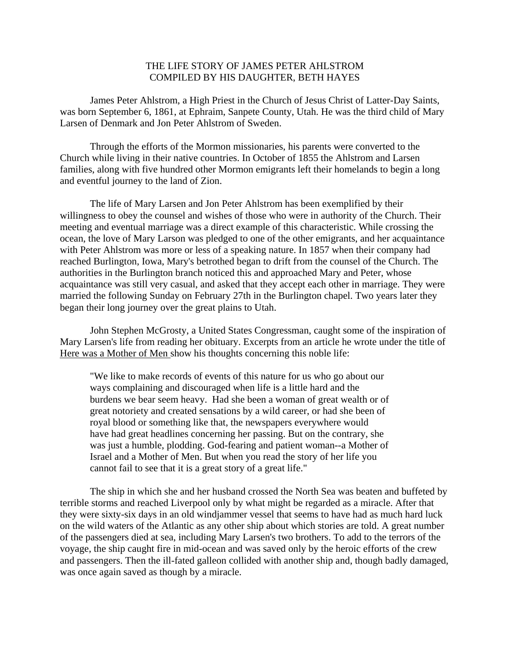## THE LIFE STORY OF JAMES PETER AHLSTROM COMPILED BY HIS DAUGHTER, BETH HAYES

James Peter Ahlstrom, a High Priest in the Church of Jesus Christ of Latter-Day Saints, was born September 6, 1861, at Ephraim, Sanpete County, Utah. He was the third child of Mary Larsen of Denmark and Jon Peter Ahlstrom of Sweden.

Through the efforts of the Mormon missionaries, his parents were converted to the Church while living in their native countries. In October of 1855 the Ahlstrom and Larsen families, along with five hundred other Mormon emigrants left their homelands to begin a long and eventful journey to the land of Zion.

The life of Mary Larsen and Jon Peter Ahlstrom has been exemplified by their willingness to obey the counsel and wishes of those who were in authority of the Church. Their meeting and eventual marriage was a direct example of this characteristic. While crossing the ocean, the love of Mary Larson was pledged to one of the other emigrants, and her acquaintance with Peter Ahlstrom was more or less of a speaking nature. In 1857 when their company had reached Burlington, Iowa, Mary's betrothed began to drift from the counsel of the Church. The authorities in the Burlington branch noticed this and approached Mary and Peter, whose acquaintance was still very casual, and asked that they accept each other in marriage. They were married the following Sunday on February 27th in the Burlington chapel. Two years later they began their long journey over the great plains to Utah.

John Stephen McGrosty, a United States Congressman, caught some of the inspiration of Mary Larsen's life from reading her obituary. Excerpts from an article he wrote under the title of Here was a Mother of Men show his thoughts concerning this noble life:

"We like to make records of events of this nature for us who go about our ways complaining and discouraged when life is a little hard and the burdens we bear seem heavy. Had she been a woman of great wealth or of great notoriety and created sensations by a wild career, or had she been of royal blood or something like that, the newspapers everywhere would have had great headlines concerning her passing. But on the contrary, she was just a humble, plodding. God-fearing and patient woman--a Mother of Israel and a Mother of Men. But when you read the story of her life you cannot fail to see that it is a great story of a great life."

The ship in which she and her husband crossed the North Sea was beaten and buffeted by terrible storms and reached Liverpool only by what might be regarded as a miracle. After that they were sixty-six days in an old windjammer vessel that seems to have had as much hard luck on the wild waters of the Atlantic as any other ship about which stories are told. A great number of the passengers died at sea, including Mary Larsen's two brothers. To add to the terrors of the voyage, the ship caught fire in mid-ocean and was saved only by the heroic efforts of the crew and passengers. Then the ill-fated galleon collided with another ship and, though badly damaged, was once again saved as though by a miracle.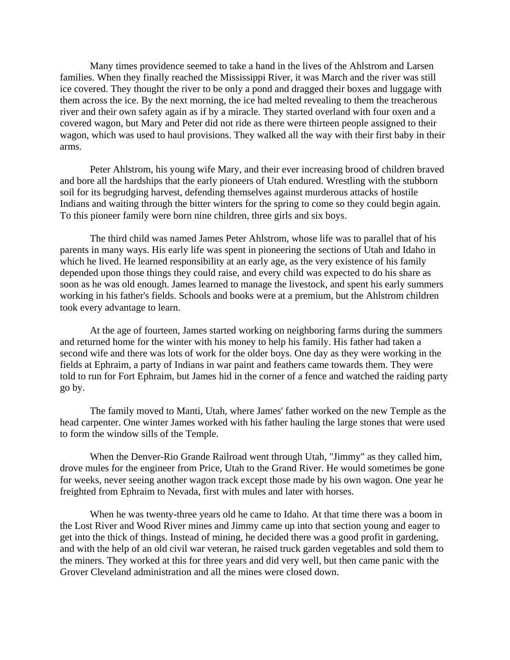Many times providence seemed to take a hand in the lives of the Ahlstrom and Larsen families. When they finally reached the Mississippi River, it was March and the river was still ice covered. They thought the river to be only a pond and dragged their boxes and luggage with them across the ice. By the next morning, the ice had melted revealing to them the treacherous river and their own safety again as if by a miracle. They started overland with four oxen and a covered wagon, but Mary and Peter did not ride as there were thirteen people assigned to their wagon, which was used to haul provisions. They walked all the way with their first baby in their arms.

Peter Ahlstrom, his young wife Mary, and their ever increasing brood of children braved and bore all the hardships that the early pioneers of Utah endured. Wrestling with the stubborn soil for its begrudging harvest, defending themselves against murderous attacks of hostile Indians and waiting through the bitter winters for the spring to come so they could begin again. To this pioneer family were born nine children, three girls and six boys.

The third child was named James Peter Ahlstrom, whose life was to parallel that of his parents in many ways. His early life was spent in pioneering the sections of Utah and Idaho in which he lived. He learned responsibility at an early age, as the very existence of his family depended upon those things they could raise, and every child was expected to do his share as soon as he was old enough. James learned to manage the livestock, and spent his early summers working in his father's fields. Schools and books were at a premium, but the Ahlstrom children took every advantage to learn.

At the age of fourteen, James started working on neighboring farms during the summers and returned home for the winter with his money to help his family. His father had taken a second wife and there was lots of work for the older boys. One day as they were working in the fields at Ephraim, a party of Indians in war paint and feathers came towards them. They were told to run for Fort Ephraim, but James hid in the corner of a fence and watched the raiding party go by.

The family moved to Manti, Utah, where James' father worked on the new Temple as the head carpenter. One winter James worked with his father hauling the large stones that were used to form the window sills of the Temple.

When the Denver-Rio Grande Railroad went through Utah, "Jimmy" as they called him, drove mules for the engineer from Price, Utah to the Grand River. He would sometimes be gone for weeks, never seeing another wagon track except those made by his own wagon. One year he freighted from Ephraim to Nevada, first with mules and later with horses.

When he was twenty-three years old he came to Idaho. At that time there was a boom in the Lost River and Wood River mines and Jimmy came up into that section young and eager to get into the thick of things. Instead of mining, he decided there was a good profit in gardening, and with the help of an old civil war veteran, he raised truck garden vegetables and sold them to the miners. They worked at this for three years and did very well, but then came panic with the Grover Cleveland administration and all the mines were closed down.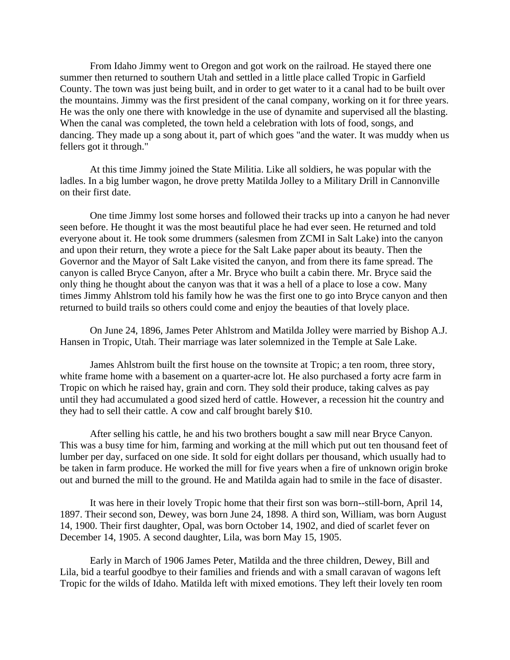From Idaho Jimmy went to Oregon and got work on the railroad. He stayed there one summer then returned to southern Utah and settled in a little place called Tropic in Garfield County. The town was just being built, and in order to get water to it a canal had to be built over the mountains. Jimmy was the first president of the canal company, working on it for three years. He was the only one there with knowledge in the use of dynamite and supervised all the blasting. When the canal was completed, the town held a celebration with lots of food, songs, and dancing. They made up a song about it, part of which goes "and the water. It was muddy when us fellers got it through."

At this time Jimmy joined the State Militia. Like all soldiers, he was popular with the ladles. In a big lumber wagon, he drove pretty Matilda Jolley to a Military Drill in Cannonville on their first date.

One time Jimmy lost some horses and followed their tracks up into a canyon he had never seen before. He thought it was the most beautiful place he had ever seen. He returned and told everyone about it. He took some drummers (salesmen from ZCMI in Salt Lake) into the canyon and upon their return, they wrote a piece for the Salt Lake paper about its beauty. Then the Governor and the Mayor of Salt Lake visited the canyon, and from there its fame spread. The canyon is called Bryce Canyon, after a Mr. Bryce who built a cabin there. Mr. Bryce said the only thing he thought about the canyon was that it was a hell of a place to lose a cow. Many times Jimmy Ahlstrom told his family how he was the first one to go into Bryce canyon and then returned to build trails so others could come and enjoy the beauties of that lovely place.

On June 24, 1896, James Peter Ahlstrom and Matilda Jolley were married by Bishop A.J. Hansen in Tropic, Utah. Their marriage was later solemnized in the Temple at Sale Lake.

James Ahlstrom built the first house on the townsite at Tropic; a ten room, three story, white frame home with a basement on a quarter-acre lot. He also purchased a forty acre farm in Tropic on which he raised hay, grain and corn. They sold their produce, taking calves as pay until they had accumulated a good sized herd of cattle. However, a recession hit the country and they had to sell their cattle. A cow and calf brought barely \$10.

After selling his cattle, he and his two brothers bought a saw mill near Bryce Canyon. This was a busy time for him, farming and working at the mill which put out ten thousand feet of lumber per day, surfaced on one side. It sold for eight dollars per thousand, which usually had to be taken in farm produce. He worked the mill for five years when a fire of unknown origin broke out and burned the mill to the ground. He and Matilda again had to smile in the face of disaster.

It was here in their lovely Tropic home that their first son was born--still-born, April 14, 1897. Their second son, Dewey, was born June 24, 1898. A third son, William, was born August 14, 1900. Their first daughter, Opal, was born October 14, 1902, and died of scarlet fever on December 14, 1905. A second daughter, Lila, was born May 15, 1905.

Early in March of 1906 James Peter, Matilda and the three children, Dewey, Bill and Lila, bid a tearful goodbye to their families and friends and with a small caravan of wagons left Tropic for the wilds of Idaho. Matilda left with mixed emotions. They left their lovely ten room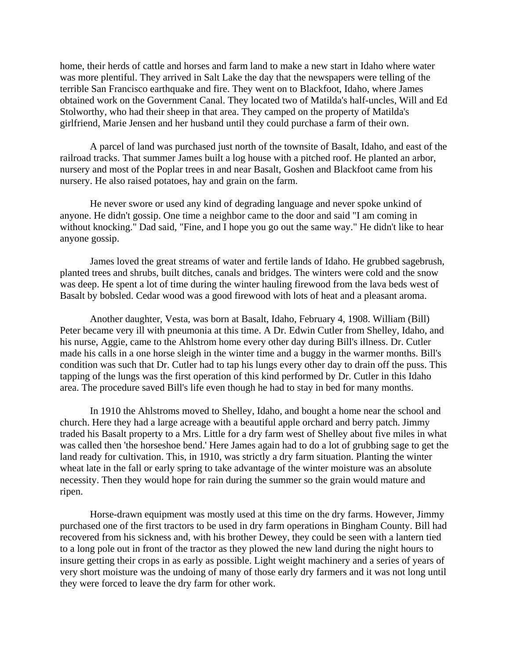home, their herds of cattle and horses and farm land to make a new start in Idaho where water was more plentiful. They arrived in Salt Lake the day that the newspapers were telling of the terrible San Francisco earthquake and fire. They went on to Blackfoot, Idaho, where James obtained work on the Government Canal. They located two of Matilda's half-uncles, Will and Ed Stolworthy, who had their sheep in that area. They camped on the property of Matilda's girlfriend, Marie Jensen and her husband until they could purchase a farm of their own.

A parcel of land was purchased just north of the townsite of Basalt, Idaho, and east of the railroad tracks. That summer James built a log house with a pitched roof. He planted an arbor, nursery and most of the Poplar trees in and near Basalt, Goshen and Blackfoot came from his nursery. He also raised potatoes, hay and grain on the farm.

He never swore or used any kind of degrading language and never spoke unkind of anyone. He didn't gossip. One time a neighbor came to the door and said "I am coming in without knocking." Dad said, "Fine, and I hope you go out the same way." He didn't like to hear anyone gossip.

James loved the great streams of water and fertile lands of Idaho. He grubbed sagebrush, planted trees and shrubs, built ditches, canals and bridges. The winters were cold and the snow was deep. He spent a lot of time during the winter hauling firewood from the lava beds west of Basalt by bobsled. Cedar wood was a good firewood with lots of heat and a pleasant aroma.

Another daughter, Vesta, was born at Basalt, Idaho, February 4, 1908. William (Bill) Peter became very ill with pneumonia at this time. A Dr. Edwin Cutler from Shelley, Idaho, and his nurse, Aggie, came to the Ahlstrom home every other day during Bill's illness. Dr. Cutler made his calls in a one horse sleigh in the winter time and a buggy in the warmer months. Bill's condition was such that Dr. Cutler had to tap his lungs every other day to drain off the puss. This tapping of the lungs was the first operation of this kind performed by Dr. Cutler in this Idaho area. The procedure saved Bill's life even though he had to stay in bed for many months.

In 1910 the Ahlstroms moved to Shelley, Idaho, and bought a home near the school and church. Here they had a large acreage with a beautiful apple orchard and berry patch. Jimmy traded his Basalt property to a Mrs. Little for a dry farm west of Shelley about five miles in what was called then 'the horseshoe bend.' Here James again had to do a lot of grubbing sage to get the land ready for cultivation. This, in 1910, was strictly a dry farm situation. Planting the winter wheat late in the fall or early spring to take advantage of the winter moisture was an absolute necessity. Then they would hope for rain during the summer so the grain would mature and ripen.

Horse-drawn equipment was mostly used at this time on the dry farms. However, Jimmy purchased one of the first tractors to be used in dry farm operations in Bingham County. Bill had recovered from his sickness and, with his brother Dewey, they could be seen with a lantern tied to a long pole out in front of the tractor as they plowed the new land during the night hours to insure getting their crops in as early as possible. Light weight machinery and a series of years of very short moisture was the undoing of many of those early dry farmers and it was not long until they were forced to leave the dry farm for other work.